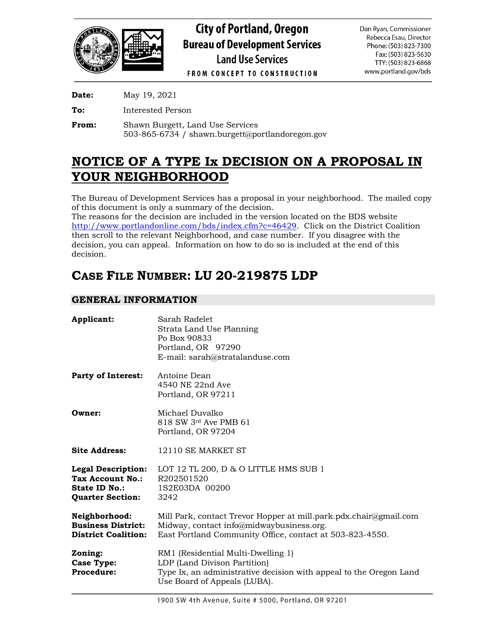

**Date:** May 19, 2021

**To:** Interested Person

**From:** Shawn Burgett, Land Use Services 503-865-6734 / shawn.burgett@portlandoregon.gov

## **NOTICE OF A TYPE Ix DECISION ON A PROPOSAL IN YOUR NEIGHBORHOOD**

The Bureau of Development Services has a proposal in your neighborhood. The mailed copy of this document is only a summary of the decision.

The reasons for the decision are included in the version located on the BDS website [http://www.portlandonline.com/bds/index.cfm?c=46429.](http://www.portlandonline.com/bds/index.cfm?c=46429) Click on the District Coalition then scroll to the relevant Neighborhood, and case number. If you disagree with the decision, you can appeal. Information on how to do so is included at the end of this decision.

# **CASE FILE NUMBER: LU 20-219875 LDP**

## **GENERAL INFORMATION**

| Applicant:                                                                                | Sarah Radelet<br>Strata Land Use Planning<br>Po Box 90833<br>Portland, OR 97290<br>E-mail: sarah@stratalanduse.com                                                        |
|-------------------------------------------------------------------------------------------|---------------------------------------------------------------------------------------------------------------------------------------------------------------------------|
| <b>Party of Interest:</b>                                                                 | Antoine Dean<br>4540 NE 22nd Ave<br>Portland, OR 97211                                                                                                                    |
| Owner:                                                                                    | Michael Duvalko<br>818 SW 3rd Ave PMB 61<br>Portland, OR 97204                                                                                                            |
| <b>Site Address:</b>                                                                      | 12110 SE MARKET ST                                                                                                                                                        |
| <b>Legal Description:</b><br>Tax Account No.:<br>State ID No.:<br><b>Quarter Section:</b> | LOT 12 TL 200, D & O LITTLE HMS SUB 1<br>R202501520<br>1S2E03DA 00200<br>3242                                                                                             |
| Neighborhood:<br><b>Business District:</b><br><b>District Coalition:</b>                  | Mill Park, contact Trevor Hopper at mill.park.pdx.chair@gmail.com<br>Midway, contact info@midwaybusiness.org.<br>East Portland Community Office, contact at 503-823-4550. |
| Zoning:<br><b>Case Type:</b><br><b>Procedure:</b>                                         | RM1 (Residential Multi-Dwelling 1)<br>LDP (Land Divison Partition)<br>Type Ix, an administrative decision with appeal to the Oregon Land<br>Use Board of Appeals (LUBA).  |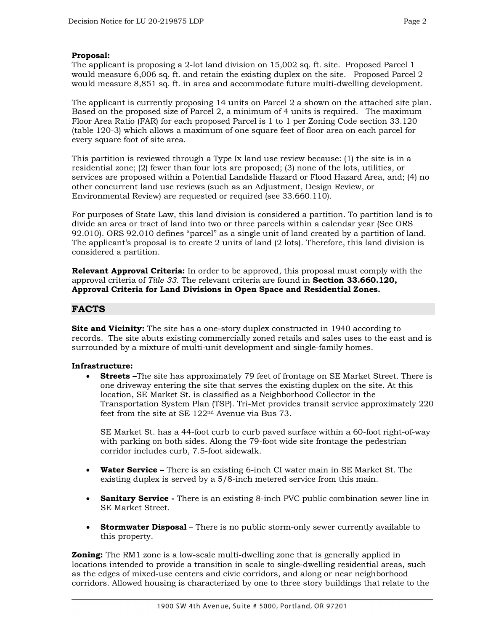## **Proposal:**

The applicant is proposing a 2-lot land division on 15,002 sq. ft. site. Proposed Parcel 1 would measure 6,006 sq. ft. and retain the existing duplex on the site. Proposed Parcel 2 would measure 8,851 sq. ft. in area and accommodate future multi-dwelling development.

The applicant is currently proposing 14 units on Parcel 2 a shown on the attached site plan. Based on the proposed size of Parcel 2, a minimum of 4 units is required. The maximum Floor Area Ratio (FAR) for each proposed Parcel is 1 to 1 per Zoning Code section 33.120 (table 120-3) which allows a maximum of one square feet of floor area on each parcel for every square foot of site area.

This partition is reviewed through a Type Ix land use review because: (1) the site is in a residential zone; (2) fewer than four lots are proposed; (3) none of the lots, utilities, or services are proposed within a Potential Landslide Hazard or Flood Hazard Area, and; (4) no other concurrent land use reviews (such as an Adjustment, Design Review, or Environmental Review) are requested or required (see 33.660.110).

For purposes of State Law, this land division is considered a partition. To partition land is to divide an area or tract of land into two or three parcels within a calendar year (See ORS 92.010). ORS 92.010 defines "parcel" as a single unit of land created by a partition of land. The applicant's proposal is to create 2 units of land (2 lots). Therefore, this land division is considered a partition.

**Relevant Approval Criteria:** In order to be approved, this proposal must comply with the approval criteria of *Title 33*. The relevant criteria are found in **Section 33.660.120, Approval Criteria for Land Divisions in Open Space and Residential Zones.**

## **FACTS**

**Site and Vicinity:** The site has a one-story duplex constructed in 1940 according to records. The site abuts existing commercially zoned retails and sales uses to the east and is surrounded by a mixture of multi-unit development and single-family homes.

#### **Infrastructure:**

• **Streets –**The site has approximately 79 feet of frontage on SE Market Street. There is one driveway entering the site that serves the existing duplex on the site. At this location, SE Market St. is classified as a Neighborhood Collector in the Transportation System Plan (TSP). Tri-Met provides transit service approximately 220 feet from the site at SE 122nd Avenue via Bus 73.

SE Market St. has a 44-foot curb to curb paved surface within a 60-foot right-of-way with parking on both sides. Along the 79-foot wide site frontage the pedestrian corridor includes curb, 7.5-foot sidewalk.

- **Water Service –** There is an existing 6-inch CI water main in SE Market St. The existing duplex is served by a 5/8-inch metered service from this main.
- **Sanitary Service -** There is an existing 8-inch PVC public combination sewer line in SE Market Street.
- **Stormwater Disposal** There is no public storm-only sewer currently available to this property.

**Zoning:** The RM1 zone is a low-scale multi-dwelling zone that is generally applied in locations intended to provide a transition in scale to single-dwelling residential areas, such as the edges of mixed-use centers and civic corridors, and along or near neighborhood corridors. Allowed housing is characterized by one to three story buildings that relate to the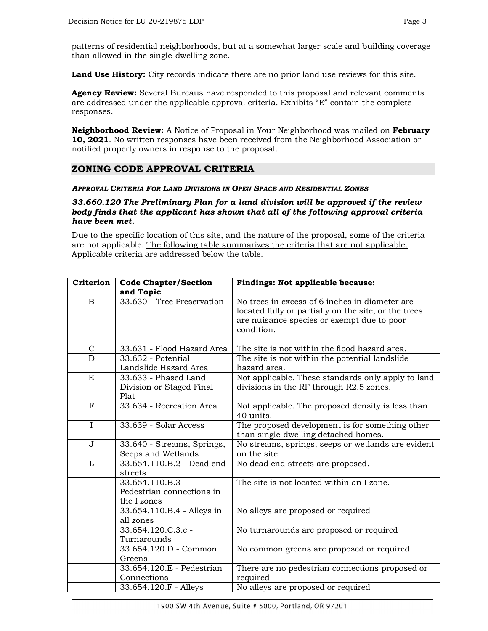patterns of residential neighborhoods, but at a somewhat larger scale and building coverage than allowed in the single-dwelling zone.

**Land Use History:** City records indicate there are no prior land use reviews for this site.

**Agency Review:** Several Bureaus have responded to this proposal and relevant comments are addressed under the applicable approval criteria. Exhibits "E" contain the complete responses.

**Neighborhood Review:** A Notice of Proposal in Your Neighborhood was mailed on **February 10, 2021**. No written responses have been received from the Neighborhood Association or notified property owners in response to the proposal.

## **ZONING CODE APPROVAL CRITERIA**

#### *APPROVAL CRITERIA FOR LAND DIVISIONS IN OPEN SPACE AND RESIDENTIAL ZONES*

#### *33.660.120 The Preliminary Plan for a land division will be approved if the review body finds that the applicant has shown that all of the following approval criteria have been met.*

Due to the specific location of this site, and the nature of the proposal, some of the criteria are not applicable. The following table summarizes the criteria that are not applicable. Applicable criteria are addressed below the table.

| Criterion      | <b>Code Chapter/Section</b>  | Findings: Not applicable because:                    |
|----------------|------------------------------|------------------------------------------------------|
|                | and Topic                    |                                                      |
| $\mathbf B$    | $33.630$ – Tree Preservation | No trees in excess of 6 inches in diameter are       |
|                |                              | located fully or partially on the site, or the trees |
|                |                              | are nuisance species or exempt due to poor           |
|                |                              | condition.                                           |
|                |                              |                                                      |
| $\mathsf{C}$   | 33.631 - Flood Hazard Area   | The site is not within the flood hazard area.        |
| $\overline{D}$ | 33.632 - Potential           | The site is not within the potential landslide       |
|                | Landslide Hazard Area        | hazard area.                                         |
| E              | 33.633 - Phased Land         | Not applicable. These standards only apply to land   |
|                | Division or Staged Final     | divisions in the RF through R2.5 zones.              |
|                | Plat                         |                                                      |
| $\mathbf{F}$   | 33.634 - Recreation Area     | Not applicable. The proposed density is less than    |
|                |                              | 40 units.                                            |
| $\mathbf I$    | 33.639 - Solar Access        | The proposed development is for something other      |
|                |                              | than single-dwelling detached homes.                 |
| J              | 33.640 - Streams, Springs,   | No streams, springs, seeps or wetlands are evident   |
|                | Seeps and Wetlands           | on the site                                          |
| $\overline{L}$ | 33.654.110.B.2 - Dead end    | No dead end streets are proposed.                    |
|                | streets                      |                                                      |
|                | 33.654.110.B.3 -             | The site is not located within an I zone.            |
|                | Pedestrian connections in    |                                                      |
|                | the I zones                  |                                                      |
|                | 33.654.110.B.4 - Alleys in   | No alleys are proposed or required                   |
|                | all zones                    |                                                      |
|                | 33.654.120.C.3.c -           | No turnarounds are proposed or required              |
|                | Turnarounds                  |                                                      |
|                | 33.654.120.D - Common        | No common greens are proposed or required            |
|                | Greens                       |                                                      |
|                | 33.654.120.E - Pedestrian    | There are no pedestrian connections proposed or      |
|                | Connections                  | required                                             |
|                | 33.654.120.F - Alleys        | No alleys are proposed or required                   |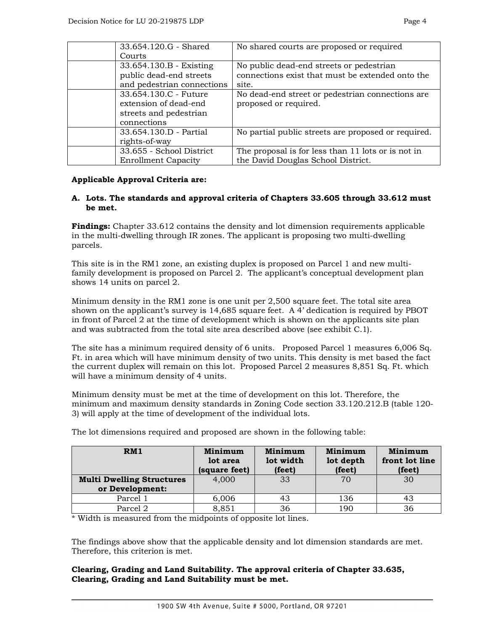| 33.654.120.G - Shared      | No shared courts are proposed or required           |
|----------------------------|-----------------------------------------------------|
| Courts                     |                                                     |
| 33.654.130.B - Existing    | No public dead-end streets or pedestrian            |
| public dead-end streets    | connections exist that must be extended onto the    |
| and pedestrian connections | site.                                               |
| 33.654.130.C - Future      | No dead-end street or pedestrian connections are    |
| extension of dead-end      | proposed or required.                               |
| streets and pedestrian     |                                                     |
| connections                |                                                     |
| 33.654.130.D - Partial     | No partial public streets are proposed or required. |
| rights-of-way              |                                                     |
| 33.655 - School District   | The proposal is for less than 11 lots or is not in  |
| <b>Enrollment Capacity</b> | the David Douglas School District.                  |

## **Applicable Approval Criteria are:**

## **A. Lots. The standards and approval criteria of Chapters 33.605 through 33.612 must be met.**

**Findings:** Chapter 33.612 contains the density and lot dimension requirements applicable in the multi-dwelling through IR zones. The applicant is proposing two multi-dwelling parcels.

This site is in the RM1 zone, an existing duplex is proposed on Parcel 1 and new multifamily development is proposed on Parcel 2. The applicant's conceptual development plan shows 14 units on parcel 2.

Minimum density in the RM1 zone is one unit per 2,500 square feet. The total site area shown on the applicant's survey is 14,685 square feet. A 4' dedication is required by PBOT in front of Parcel 2 at the time of development which is shown on the applicants site plan and was subtracted from the total site area described above (see exhibit C.1).

The site has a minimum required density of 6 units. Proposed Parcel 1 measures 6,006 Sq. Ft. in area which will have minimum density of two units. This density is met based the fact the current duplex will remain on this lot. Proposed Parcel 2 measures 8,851 Sq. Ft. which will have a minimum density of 4 units.

Minimum density must be met at the time of development on this lot. Therefore, the minimum and maximum density standards in Zoning Code section 33.120.212.B (table 120- 3) will apply at the time of development of the individual lots.

| RM1                                                 | Minimum<br>lot area<br>(square feet) | Minimum<br>lot width<br>(feet) | Minimum<br>lot depth<br>(feet) | Minimum<br>front lot line<br>(feet) |
|-----------------------------------------------------|--------------------------------------|--------------------------------|--------------------------------|-------------------------------------|
| <b>Multi Dwelling Structures</b><br>or Development: | 4.000                                | 33                             | 70                             | 30                                  |
| Parcel 1                                            | 6,006                                | 43                             | 136                            | 43                                  |
| Parcel 2                                            | 8,851                                | 36                             | 190                            | 36                                  |

The lot dimensions required and proposed are shown in the following table:

\* Width is measured from the midpoints of opposite lot lines.

The findings above show that the applicable density and lot dimension standards are met. Therefore, this criterion is met.

## **Clearing, Grading and Land Suitability. The approval criteria of Chapter 33.635, Clearing, Grading and Land Suitability must be met.**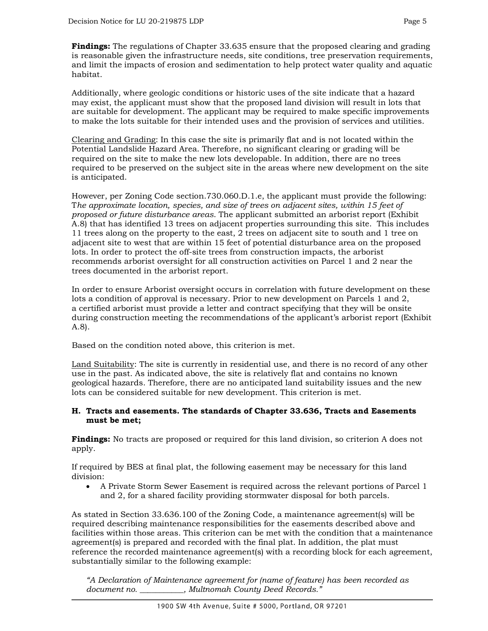**Findings:** The regulations of Chapter 33.635 ensure that the proposed clearing and grading is reasonable given the infrastructure needs, site conditions, tree preservation requirements, and limit the impacts of erosion and sedimentation to help protect water quality and aquatic habitat.

Additionally, where geologic conditions or historic uses of the site indicate that a hazard may exist, the applicant must show that the proposed land division will result in lots that are suitable for development. The applicant may be required to make specific improvements to make the lots suitable for their intended uses and the provision of services and utilities.

Clearing and Grading: In this case the site is primarily flat and is not located within the Potential Landslide Hazard Area. Therefore, no significant clearing or grading will be required on the site to make the new lots developable. In addition, there are no trees required to be preserved on the subject site in the areas where new development on the site is anticipated.

However, per Zoning Code section.730.060.D.1.e, the applicant must provide the following: T*he approximate location, species, and size of trees on adjacent sites, within 15 feet of proposed or future disturbance areas*. The applicant submitted an arborist report (Exhibit A.8) that has identified 13 trees on adjacent properties surrounding this site. This includes 11 trees along on the property to the east, 2 trees on adjacent site to south and 1 tree on adjacent site to west that are within 15 feet of potential disturbance area on the proposed lots. In order to protect the off-site trees from construction impacts, the arborist recommends arborist oversight for all construction activities on Parcel 1 and 2 near the trees documented in the arborist report.

In order to ensure Arborist oversight occurs in correlation with future development on these lots a condition of approval is necessary. Prior to new development on Parcels 1 and 2, a certified arborist must provide a letter and contract specifying that they will be onsite during construction meeting the recommendations of the applicant's arborist report (Exhibit A.8).

Based on the condition noted above, this criterion is met.

Land Suitability: The site is currently in residential use, and there is no record of any other use in the past. As indicated above, the site is relatively flat and contains no known geological hazards. Therefore, there are no anticipated land suitability issues and the new lots can be considered suitable for new development. This criterion is met.

## **H. Tracts and easements. The standards of Chapter 33.636, Tracts and Easements must be met;**

**Findings:** No tracts are proposed or required for this land division, so criterion A does not apply.

If required by BES at final plat, the following easement may be necessary for this land division:

• A Private Storm Sewer Easement is required across the relevant portions of Parcel 1 and 2, for a shared facility providing stormwater disposal for both parcels.

As stated in Section 33.636.100 of the Zoning Code, a maintenance agreement(s) will be required describing maintenance responsibilities for the easements described above and facilities within those areas. This criterion can be met with the condition that a maintenance agreement(s) is prepared and recorded with the final plat. In addition, the plat must reference the recorded maintenance agreement(s) with a recording block for each agreement, substantially similar to the following example:

*"A Declaration of Maintenance agreement for (name of feature) has been recorded as document no. \_\_\_\_\_\_\_\_\_\_\_, Multnomah County Deed Records."*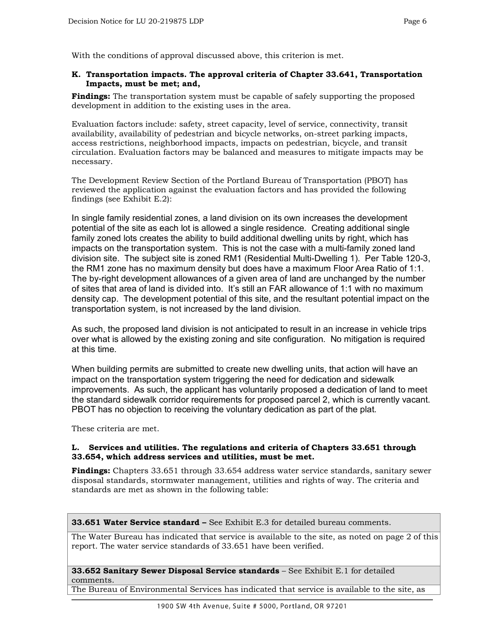With the conditions of approval discussed above, this criterion is met.

## **K. Transportation impacts. The approval criteria of Chapter 33.641, Transportation Impacts, must be met; and,**

**Findings:** The transportation system must be capable of safely supporting the proposed development in addition to the existing uses in the area.

Evaluation factors include: safety, street capacity, level of service, connectivity, transit availability, availability of pedestrian and bicycle networks, on-street parking impacts, access restrictions, neighborhood impacts, impacts on pedestrian, bicycle, and transit circulation. Evaluation factors may be balanced and measures to mitigate impacts may be necessary.

The Development Review Section of the Portland Bureau of Transportation (PBOT) has reviewed the application against the evaluation factors and has provided the following findings (see Exhibit E.2):

In single family residential zones, a land division on its own increases the development potential of the site as each lot is allowed a single residence. Creating additional single family zoned lots creates the ability to build additional dwelling units by right, which has impacts on the transportation system. This is not the case with a multi-family zoned land division site. The subject site is zoned RM1 (Residential Multi-Dwelling 1). Per Table 120-3, the RM1 zone has no maximum density but does have a maximum Floor Area Ratio of 1:1. The by-right development allowances of a given area of land are unchanged by the number of sites that area of land is divided into. It's still an FAR allowance of 1:1 with no maximum density cap. The development potential of this site, and the resultant potential impact on the transportation system, is not increased by the land division.

As such, the proposed land division is not anticipated to result in an increase in vehicle trips over what is allowed by the existing zoning and site configuration. No mitigation is required at this time.

When building permits are submitted to create new dwelling units, that action will have an impact on the transportation system triggering the need for dedication and sidewalk improvements. As such, the applicant has voluntarily proposed a dedication of land to meet the standard sidewalk corridor requirements for proposed parcel 2, which is currently vacant. PBOT has no objection to receiving the voluntary dedication as part of the plat.

These criteria are met.

## **L. Services and utilities. The regulations and criteria of Chapters 33.651 through 33.654, which address services and utilities, must be met.**

**Findings:** Chapters 33.651 through 33.654 address water service standards, sanitary sewer disposal standards, stormwater management, utilities and rights of way. The criteria and standards are met as shown in the following table:

#### **33.651 Water Service standard –** See Exhibit E.3 for detailed bureau comments.

The Water Bureau has indicated that service is available to the site, as noted on page 2 of this report. The water service standards of 33.651 have been verified.

**33.652 Sanitary Sewer Disposal Service standards** – See Exhibit E.1 for detailed comments.

The Bureau of Environmental Services has indicated that service is available to the site, as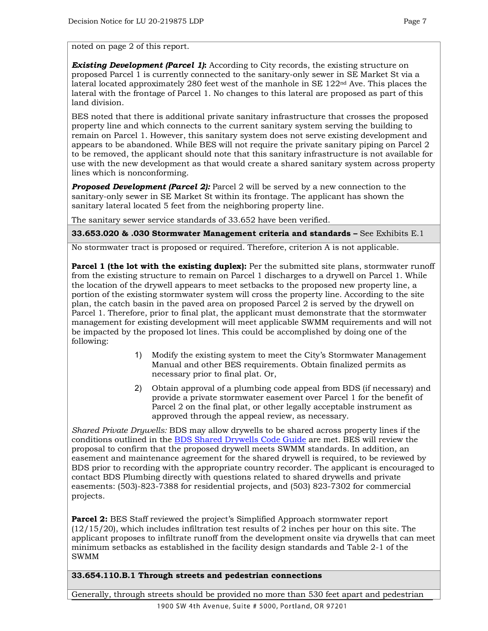noted on page 2 of this report.

*Existing Development (Parcel 1)***:** According to City records, the existing structure on proposed Parcel 1 is currently connected to the sanitary-only sewer in SE Market St via a lateral located approximately 280 feet west of the manhole in SE  $122<sup>nd</sup>$  Ave. This places the lateral with the frontage of Parcel 1. No changes to this lateral are proposed as part of this land division.

BES noted that there is additional private sanitary infrastructure that crosses the proposed property line and which connects to the current sanitary system serving the building to remain on Parcel 1. However, this sanitary system does not serve existing development and appears to be abandoned. While BES will not require the private sanitary piping on Parcel 2 to be removed, the applicant should note that this sanitary infrastructure is not available for use with the new development as that would create a shared sanitary system across property lines which is nonconforming.

*Proposed Development (Parcel 2):* Parcel 2 will be served by a new connection to the sanitary-only sewer in SE Market St within its frontage. The applicant has shown the sanitary lateral located 5 feet from the neighboring property line.

The sanitary sewer service standards of 33.652 have been verified.

**33.653.020 & .030 Stormwater Management criteria and standards –** See Exhibits E.1

No stormwater tract is proposed or required. Therefore, criterion A is not applicable.

**Parcel 1 (the lot with the existing duplex):** Per the submitted site plans, stormwater runoff from the existing structure to remain on Parcel 1 discharges to a drywell on Parcel 1. While the location of the drywell appears to meet setbacks to the proposed new property line, a portion of the existing stormwater system will cross the property line. According to the site plan, the catch basin in the paved area on proposed Parcel 2 is served by the drywell on Parcel 1. Therefore, prior to final plat, the applicant must demonstrate that the stormwater management for existing development will meet applicable SWMM requirements and will not be impacted by the proposed lot lines. This could be accomplished by doing one of the following:

- 1) Modify the existing system to meet the City's Stormwater Management Manual and other BES requirements. Obtain finalized permits as necessary prior to final plat. Or,
- 2) Obtain approval of a plumbing code appeal from BDS (if necessary) and provide a private stormwater easement over Parcel 1 for the benefit of Parcel 2 on the final plat, or other legally acceptable instrument as approved through the appeal review, as necessary.

*Shared Private Drywells:* BDS may allow drywells to be shared across property lines if the conditions outlined in the [BDS Shared Drywells Code Guide](https://www.portlandoregon.gov/bds/article/641337) are met. BES will review the proposal to confirm that the proposed drywell meets SWMM standards. In addition, an easement and maintenance agreement for the shared drywell is required, to be reviewed by BDS prior to recording with the appropriate country recorder. The applicant is encouraged to contact BDS Plumbing directly with questions related to shared drywells and private easements: (503)-823-7388 for residential projects, and (503) 823-7302 for commercial projects.

**Parcel 2:** BES Staff reviewed the project's Simplified Approach stormwater report  $(12/15/20)$ , which includes infiltration test results of 2 inches per hour on this site. The applicant proposes to infiltrate runoff from the development onsite via drywells that can meet minimum setbacks as established in the facility design standards and Table 2-1 of the SWMM

## **33.654.110.B.1 Through streets and pedestrian connections**

Generally, through streets should be provided no more than 530 feet apart and pedestrian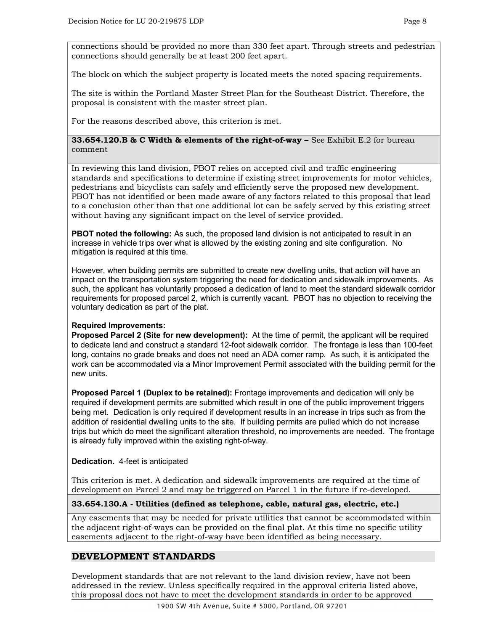connections should be provided no more than 330 feet apart. Through streets and pedestrian connections should generally be at least 200 feet apart.

The block on which the subject property is located meets the noted spacing requirements.

The site is within the Portland Master Street Plan for the Southeast District. Therefore, the proposal is consistent with the master street plan.

For the reasons described above, this criterion is met.

## **33.654.120.B & C Width & elements of the right-of-way –** See Exhibit E.2 for bureau comment

In reviewing this land division, PBOT relies on accepted civil and traffic engineering standards and specifications to determine if existing street improvements for motor vehicles, pedestrians and bicyclists can safely and efficiently serve the proposed new development. PBOT has not identified or been made aware of any factors related to this proposal that lead to a conclusion other than that one additional lot can be safely served by this existing street without having any significant impact on the level of service provided.

**PBOT noted the following:** As such, the proposed land division is not anticipated to result in an increase in vehicle trips over what is allowed by the existing zoning and site configuration. No mitigation is required at this time.

However, when building permits are submitted to create new dwelling units, that action will have an impact on the transportation system triggering the need for dedication and sidewalk improvements. As such, the applicant has voluntarily proposed a dedication of land to meet the standard sidewalk corridor requirements for proposed parcel 2, which is currently vacant. PBOT has no objection to receiving the voluntary dedication as part of the plat.

## **Required Improvements:**

**Proposed Parcel 2 (Site for new development):** At the time of permit, the applicant will be required to dedicate land and construct a standard 12-foot sidewalk corridor. The frontage is less than 100-feet long, contains no grade breaks and does not need an ADA corner ramp. As such, it is anticipated the work can be accommodated via a Minor Improvement Permit associated with the building permit for the new units.

**Proposed Parcel 1 (Duplex to be retained):** Frontage improvements and dedication will only be required if development permits are submitted which result in one of the public improvement triggers being met. Dedication is only required if development results in an increase in trips such as from the addition of residential dwelling units to the site. If building permits are pulled which do not increase trips but which do meet the significant alteration threshold, no improvements are needed. The frontage is already fully improved within the existing right-of-way.

## **Dedication.** 4-feet is anticipated

This criterion is met. A dedication and sidewalk improvements are required at the time of development on Parcel 2 and may be triggered on Parcel 1 in the future if re-developed.

## **33.654.130.A - Utilities (defined as telephone, cable, natural gas, electric, etc.)**

Any easements that may be needed for private utilities that cannot be accommodated within the adjacent right-of-ways can be provided on the final plat. At this time no specific utility easements adjacent to the right-of-way have been identified as being necessary.

## **DEVELOPMENT STANDARDS**

Development standards that are not relevant to the land division review, have not been addressed in the review. Unless specifically required in the approval criteria listed above, this proposal does not have to meet the development standards in order to be approved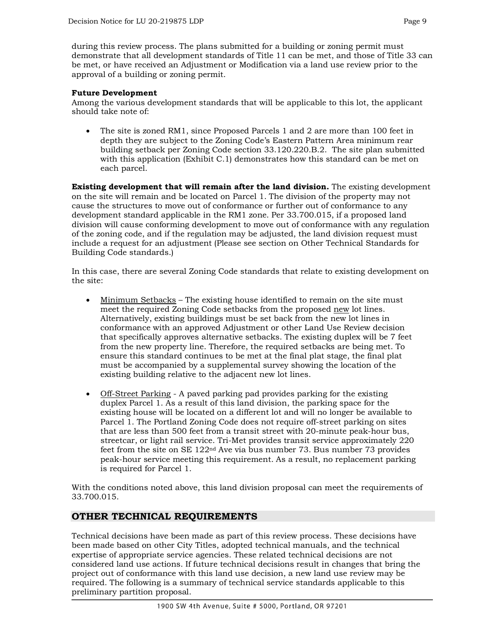during this review process. The plans submitted for a building or zoning permit must demonstrate that all development standards of Title 11 can be met, and those of Title 33 can be met, or have received an Adjustment or Modification via a land use review prior to the approval of a building or zoning permit.

## **Future Development**

Among the various development standards that will be applicable to this lot, the applicant should take note of:

• The site is zoned RM1, since Proposed Parcels 1 and 2 are more than 100 feet in depth they are subject to the Zoning Code's Eastern Pattern Area minimum rear building setback per Zoning Code section 33.120.220.B.2. The site plan submitted with this application (Exhibit C.1) demonstrates how this standard can be met on each parcel.

**Existing development that will remain after the land division.** The existing development on the site will remain and be located on Parcel 1. The division of the property may not cause the structures to move out of conformance or further out of conformance to any development standard applicable in the RM1 zone. Per 33.700.015, if a proposed land division will cause conforming development to move out of conformance with any regulation of the zoning code, and if the regulation may be adjusted, the land division request must include a request for an adjustment (Please see section on Other Technical Standards for Building Code standards.)

In this case, there are several Zoning Code standards that relate to existing development on the site:

- Minimum Setbacks The existing house identified to remain on the site must meet the required Zoning Code setbacks from the proposed new lot lines. Alternatively, existing buildings must be set back from the new lot lines in conformance with an approved Adjustment or other Land Use Review decision that specifically approves alternative setbacks. The existing duplex will be 7 feet from the new property line. Therefore, the required setbacks are being met. To ensure this standard continues to be met at the final plat stage, the final plat must be accompanied by a supplemental survey showing the location of the existing building relative to the adjacent new lot lines.
- Off-Street Parking A paved parking pad provides parking for the existing duplex Parcel 1. As a result of this land division, the parking space for the existing house will be located on a different lot and will no longer be available to Parcel 1. The Portland Zoning Code does not require off-street parking on sites that are less than 500 feet from a transit street with 20-minute peak-hour bus, streetcar, or light rail service. Tri-Met provides transit service approximately 220 feet from the site on SE 122nd Ave via bus number 73. Bus number 73 provides peak-hour service meeting this requirement. As a result, no replacement parking is required for Parcel 1.

With the conditions noted above, this land division proposal can meet the requirements of 33.700.015.

## **OTHER TECHNICAL REQUIREMENTS**

Technical decisions have been made as part of this review process. These decisions have been made based on other City Titles, adopted technical manuals, and the technical expertise of appropriate service agencies. These related technical decisions are not considered land use actions. If future technical decisions result in changes that bring the project out of conformance with this land use decision, a new land use review may be required. The following is a summary of technical service standards applicable to this preliminary partition proposal.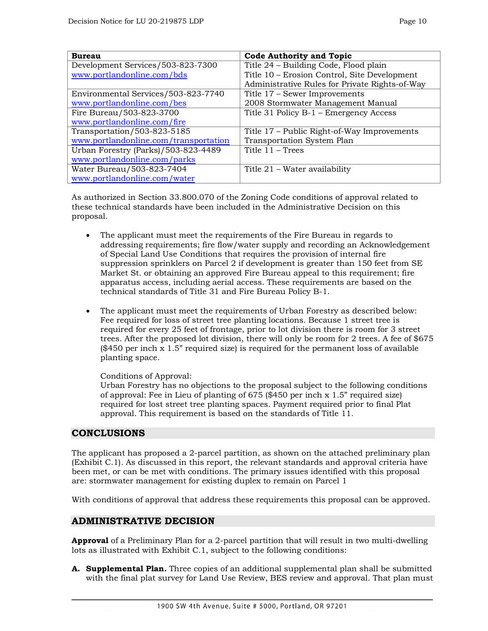| <b>Bureau</b>                         | <b>Code Authority and Topic</b>                |
|---------------------------------------|------------------------------------------------|
| Development Services/503-823-7300     | Title 24 - Building Code, Flood plain          |
| www.portlandonline.com/bds            | Title 10 – Erosion Control, Site Development   |
|                                       | Administrative Rules for Private Rights-of-Way |
| Environmental Services/503-823-7740   | Title 17 – Sewer Improvements                  |
| www.portlandonline.com/bes            | 2008 Stormwater Management Manual              |
| Fire Bureau/503-823-3700              | Title 31 Policy B-1 - Emergency Access         |
| www.portlandonline.com/fire           |                                                |
| Transportation/503-823-5185           | Title 17 – Public Right-of-Way Improvements    |
| www.portlandonline.com/transportation | Transportation System Plan                     |
| Urban Forestry (Parks)/503-823-4489   | Title $11 - Trees$                             |
| www.portlandonline.com/parks          |                                                |
| Water Bureau/503-823-7404             | Title 21 – Water availability                  |
| www.portlandonline.com/water          |                                                |

As authorized in Section 33.800.070 of the Zoning Code conditions of approval related to these technical standards have been included in the Administrative Decision on this proposal.

- The applicant must meet the requirements of the Fire Bureau in regards to addressing requirements; fire flow/water supply and recording an Acknowledgement of Special Land Use Conditions that requires the provision of internal fire suppression sprinklers on Parcel 2 if development is greater than 150 feet from SE Market St. or obtaining an approved Fire Bureau appeal to this requirement; fire apparatus access, including aerial access. These requirements are based on the technical standards of Title 31 and Fire Bureau Policy B-1.
- The applicant must meet the requirements of Urban Forestry as described below: Fee required for loss of street tree planting locations. Because 1 street tree is required for every 25 feet of frontage, prior to lot division there is room for 3 street trees. After the proposed lot division, there will only be room for 2 trees. A fee of \$675  $(\$450$  per inch x 1.5" required size) is required for the permanent loss of available planting space.

Conditions of Approval:

Urban Forestry has no objections to the proposal subject to the following conditions of approval: Fee in Lieu of planting of 675 (\$450 per inch x 1.5" required size) required for lost street tree planting spaces. Payment required prior to final Plat approval. This requirement is based on the standards of Title 11.

## **CONCLUSIONS**

The applicant has proposed a 2-parcel partition, as shown on the attached preliminary plan (Exhibit C.1). As discussed in this report, the relevant standards and approval criteria have been met, or can be met with conditions. The primary issues identified with this proposal are: stormwater management for existing duplex to remain on Parcel 1

With conditions of approval that address these requirements this proposal can be approved.

## **ADMINISTRATIVE DECISION**

**Approval** of a Preliminary Plan for a 2-parcel partition that will result in two multi-dwelling lots as illustrated with Exhibit C.1, subject to the following conditions:

**A. Supplemental Plan.** Three copies of an additional supplemental plan shall be submitted with the final plat survey for Land Use Review, BES review and approval. That plan must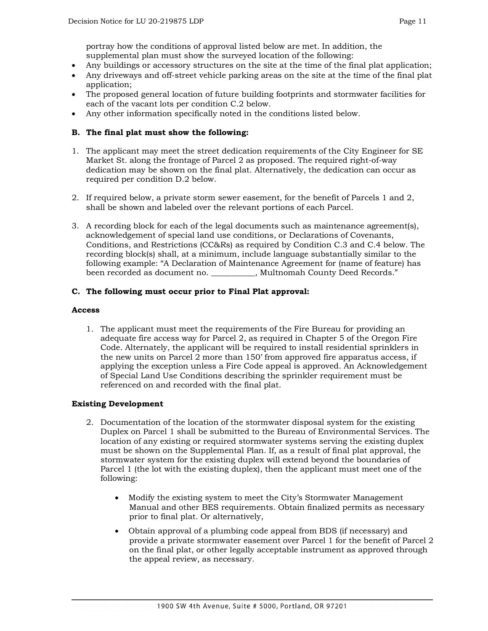portray how the conditions of approval listed below are met. In addition, the supplemental plan must show the surveyed location of the following:

- Any buildings or accessory structures on the site at the time of the final plat application;
- Any driveways and off-street vehicle parking areas on the site at the time of the final plat application;
- The proposed general location of future building footprints and stormwater facilities for each of the vacant lots per condition C.2 below.
- Any other information specifically noted in the conditions listed below.

## **B. The final plat must show the following:**

- 1. The applicant may meet the street dedication requirements of the City Engineer for SE Market St. along the frontage of Parcel 2 as proposed. The required right-of-way dedication may be shown on the final plat. Alternatively, the dedication can occur as required per condition D.2 below.
- 2. If required below, a private storm sewer easement, for the benefit of Parcels 1 and 2, shall be shown and labeled over the relevant portions of each Parcel.
- 3. A recording block for each of the legal documents such as maintenance agreement(s), acknowledgement of special land use conditions, or Declarations of Covenants, Conditions, and Restrictions (CC&Rs) as required by Condition C.3 and C.4 below. The recording block(s) shall, at a minimum, include language substantially similar to the following example: "A Declaration of Maintenance Agreement for (name of feature) has been recorded as document no.  $\qquad \qquad$ , Multnomah County Deed Records."

## **C. The following must occur prior to Final Plat approval:**

#### **Access**

1. The applicant must meet the requirements of the Fire Bureau for providing an adequate fire access way for Parcel 2, as required in Chapter 5 of the Oregon Fire Code. Alternately, the applicant will be required to install residential sprinklers in the new units on Parcel 2 more than 150' from approved fire apparatus access, if applying the exception unless a Fire Code appeal is approved. An Acknowledgement of Special Land Use Conditions describing the sprinkler requirement must be referenced on and recorded with the final plat.

#### **Existing Development**

- 2. Documentation of the location of the stormwater disposal system for the existing Duplex on Parcel 1 shall be submitted to the Bureau of Environmental Services. The location of any existing or required stormwater systems serving the existing duplex must be shown on the Supplemental Plan. If, as a result of final plat approval, the stormwater system for the existing duplex will extend beyond the boundaries of Parcel 1 (the lot with the existing duplex), then the applicant must meet one of the following:
	- Modify the existing system to meet the City's Stormwater Management Manual and other BES requirements. Obtain finalized permits as necessary prior to final plat. Or alternatively,
	- Obtain approval of a plumbing code appeal from BDS (if necessary) and provide a private stormwater easement over Parcel 1 for the benefit of Parcel 2 on the final plat, or other legally acceptable instrument as approved through the appeal review, as necessary.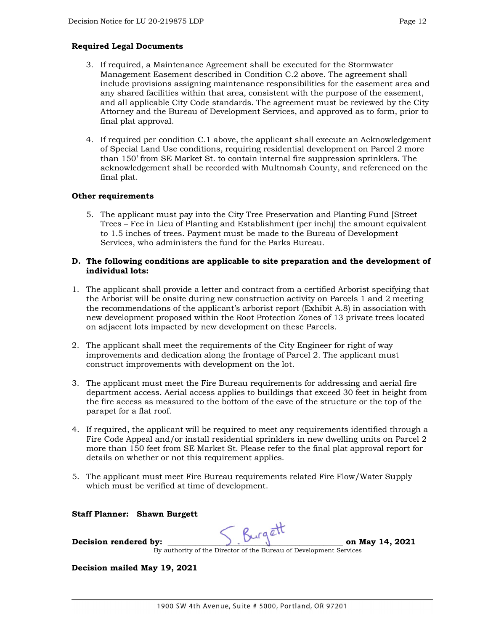## **Required Legal Documents**

- 3. If required, a Maintenance Agreement shall be executed for the Stormwater Management Easement described in Condition C.2 above. The agreement shall include provisions assigning maintenance responsibilities for the easement area and any shared facilities within that area, consistent with the purpose of the easement, and all applicable City Code standards. The agreement must be reviewed by the City Attorney and the Bureau of Development Services, and approved as to form, prior to final plat approval.
- 4. If required per condition C.1 above, the applicant shall execute an Acknowledgement of Special Land Use conditions, requiring residential development on Parcel 2 more than 150' from SE Market St. to contain internal fire suppression sprinklers. The acknowledgement shall be recorded with Multnomah County, and referenced on the final plat.

## **Other requirements**

5. The applicant must pay into the City Tree Preservation and Planting Fund [Street Trees – Fee in Lieu of Planting and Establishment (per inch)] the amount equivalent to 1.5 inches of trees. Payment must be made to the Bureau of Development Services, who administers the fund for the Parks Bureau.

### **D. The following conditions are applicable to site preparation and the development of individual lots:**

- 1. The applicant shall provide a letter and contract from a certified Arborist specifying that the Arborist will be onsite during new construction activity on Parcels 1 and 2 meeting the recommendations of the applicant's arborist report (Exhibit A.8) in association with new development proposed within the Root Protection Zones of 13 private trees located on adjacent lots impacted by new development on these Parcels.
- 2. The applicant shall meet the requirements of the City Engineer for right of way improvements and dedication along the frontage of Parcel 2. The applicant must construct improvements with development on the lot.
- 3. The applicant must meet the Fire Bureau requirements for addressing and aerial fire department access. Aerial access applies to buildings that exceed 30 feet in height from the fire access as measured to the bottom of the eave of the structure or the top of the parapet for a flat roof.
- 4. If required, the applicant will be required to meet any requirements identified through a Fire Code Appeal and/or install residential sprinklers in new dwelling units on Parcel 2 more than 150 feet from SE Market St. Please refer to the final plat approval report for details on whether or not this requirement applies.
- 5. The applicant must meet Fire Bureau requirements related Fire Flow/Water Supply which must be verified at time of development.

## **Staff Planner: Shawn Burgett**

**Decision rendered by: \_\_\_\_\_\_\_\_\_\_\_\_\_\_\_\_\_\_\_\_\_\_\_\_\_\_\_\_\_\_\_\_\_\_\_\_\_\_\_\_\_\_\_\_ on May 14, 2021**

By authority of the Director of the Bureau of Development Services

**Decision mailed May 19, 2021**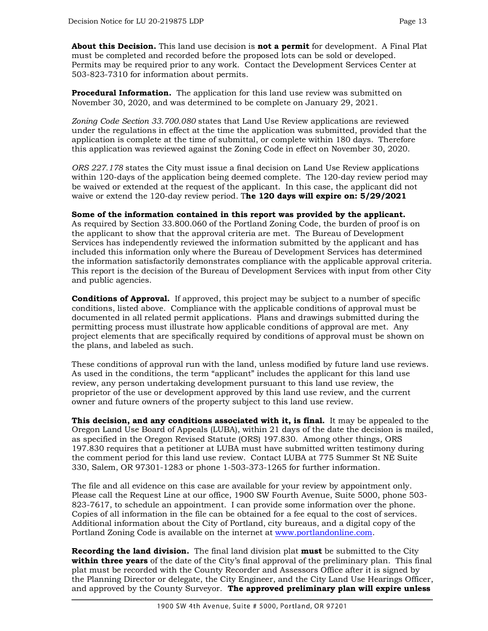**About this Decision.** This land use decision is **not a permit** for development. A Final Plat must be completed and recorded before the proposed lots can be sold or developed. Permits may be required prior to any work. Contact the Development Services Center at 503-823-7310 for information about permits.

**Procedural Information.** The application for this land use review was submitted on November 30, 2020, and was determined to be complete on January 29, 2021.

*Zoning Code Section 33.700.080* states that Land Use Review applications are reviewed under the regulations in effect at the time the application was submitted, provided that the application is complete at the time of submittal, or complete within 180 days. Therefore this application was reviewed against the Zoning Code in effect on November 30, 2020.

*ORS 227.178* states the City must issue a final decision on Land Use Review applications within 120-days of the application being deemed complete. The 120-day review period may be waived or extended at the request of the applicant. In this case, the applicant did not waive or extend the 120-day review period. T**he 120 days will expire on: 5/29/2021**

## **Some of the information contained in this report was provided by the applicant.**

As required by Section 33.800.060 of the Portland Zoning Code, the burden of proof is on the applicant to show that the approval criteria are met. The Bureau of Development Services has independently reviewed the information submitted by the applicant and has included this information only where the Bureau of Development Services has determined the information satisfactorily demonstrates compliance with the applicable approval criteria. This report is the decision of the Bureau of Development Services with input from other City and public agencies.

**Conditions of Approval.** If approved, this project may be subject to a number of specific conditions, listed above. Compliance with the applicable conditions of approval must be documented in all related permit applications. Plans and drawings submitted during the permitting process must illustrate how applicable conditions of approval are met. Any project elements that are specifically required by conditions of approval must be shown on the plans, and labeled as such.

These conditions of approval run with the land, unless modified by future land use reviews. As used in the conditions, the term "applicant" includes the applicant for this land use review, any person undertaking development pursuant to this land use review, the proprietor of the use or development approved by this land use review, and the current owner and future owners of the property subject to this land use review.

**This decision, and any conditions associated with it, is final.** It may be appealed to the Oregon Land Use Board of Appeals (LUBA), within 21 days of the date the decision is mailed, as specified in the Oregon Revised Statute (ORS) 197.830. Among other things, ORS 197.830 requires that a petitioner at LUBA must have submitted written testimony during the comment period for this land use review. Contact LUBA at 775 Summer St NE Suite 330, Salem, OR 97301-1283 or phone 1-503-373-1265 for further information.

The file and all evidence on this case are available for your review by appointment only. Please call the Request Line at our office, 1900 SW Fourth Avenue, Suite 5000, phone 503- 823-7617, to schedule an appointment. I can provide some information over the phone. Copies of all information in the file can be obtained for a fee equal to the cost of services. Additional information about the City of Portland, city bureaus, and a digital copy of the Portland Zoning Code is available on the internet at [www.portlandonline.com.](http://www.portlandonline.com/)

**Recording the land division.** The final land division plat **must** be submitted to the City **within three years** of the date of the City's final approval of the preliminary plan. This final plat must be recorded with the County Recorder and Assessors Office after it is signed by the Planning Director or delegate, the City Engineer, and the City Land Use Hearings Officer, and approved by the County Surveyor. **The approved preliminary plan will expire unless**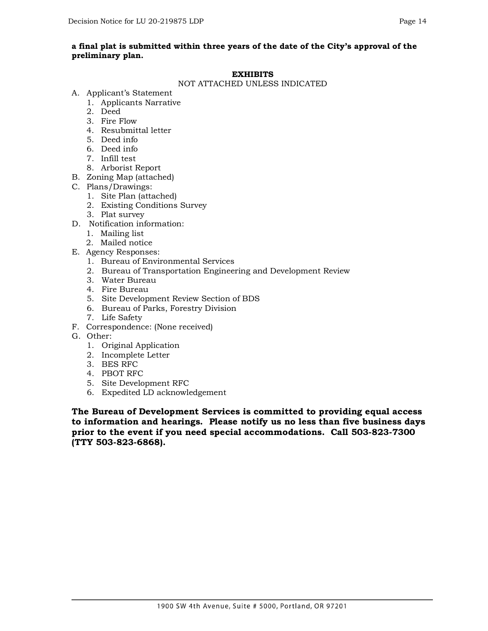## **a final plat is submitted within three years of the date of the City's approval of the preliminary plan.**

#### **EXHIBITS**

#### NOT ATTACHED UNLESS INDICATED

- A. Applicant's Statement
	- 1. Applicants Narrative
	- 2. Deed
	- 3. Fire Flow
	- 4. Resubmittal letter
	- 5. Deed info
	- 6. Deed info
	- 7. Infill test
	- 8. Arborist Report
- B. Zoning Map (attached)
- C. Plans/Drawings:
	- 1. Site Plan (attached)
	- 2. Existing Conditions Survey
	- 3. Plat survey
- D. Notification information:
	- 1. Mailing list
	- 2. Mailed notice
- E. Agency Responses:
	- 1. Bureau of Environmental Services
	- 2. Bureau of Transportation Engineering and Development Review
	- 3. Water Bureau
	- 4. Fire Bureau
	- 5. Site Development Review Section of BDS
	- 6. Bureau of Parks, Forestry Division
	- 7. Life Safety
- F. Correspondence: (None received)
- G. Other:
	- 1. Original Application
	- 2. Incomplete Letter
	- 3. BES RFC
	- 4. PBOT RFC
	- 5. Site Development RFC
	- 6. Expedited LD acknowledgement

**The Bureau of Development Services is committed to providing equal access to information and hearings. Please notify us no less than five business days prior to the event if you need special accommodations. Call 503-823-7300 (TTY 503-823-6868).**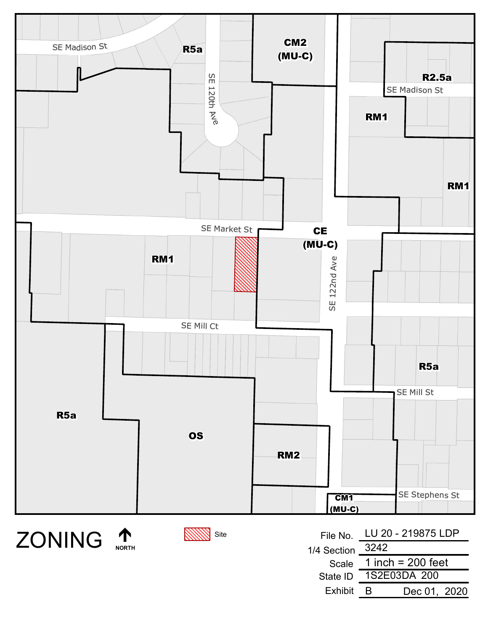





| File No.             | LU 20 - 219875 LDP  |  |
|----------------------|---------------------|--|
| 1/4 Section $-$ 3242 |                     |  |
| Scale                | 1 inch = $200$ feet |  |
| State ID             | 1S2E03DA 200        |  |
| Exhibit              | Dec 01, 2020<br>к   |  |
|                      |                     |  |